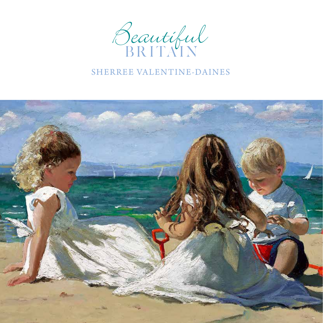

## SHERREE VALENTINE-DAINES

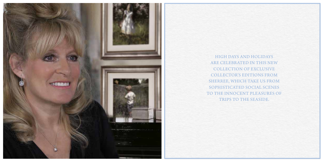

HIGH DAYS AND HOLIDAYS ARE CELEBRATED IN THIS NEW COLLECTION OF EXCLUSIVE COLLECTOR'S EDITIONS FROM SHERREE, WHICH TAKE US FROM SOPHISTICATED SOCIAL SCENES TO THE INNOCENT PLEASURES OF TRIPS TO THE SEASIDE.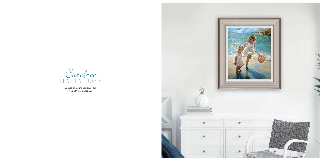Canvas on Board Edition of 195 16 x 20" Framed: £695



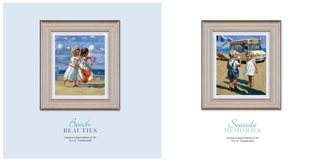Canvas on Board Edition of 195 10 x 12" Framed: £425



Canvas on Board Edition of 195 10 x 12" Framed: £425





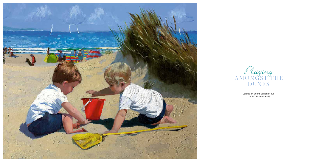

Canvas on Board Edition of 195 12 x 10" Framed: £425

Playing A M O N G S T T H E DUNES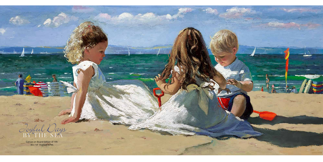

Canvas on Board Edition of 195 30 x 14" Framed: £795

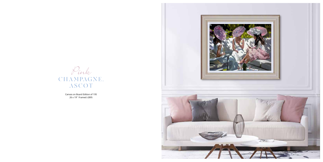Canvas on Board Edition of 195 26 x 19" Framed: £895